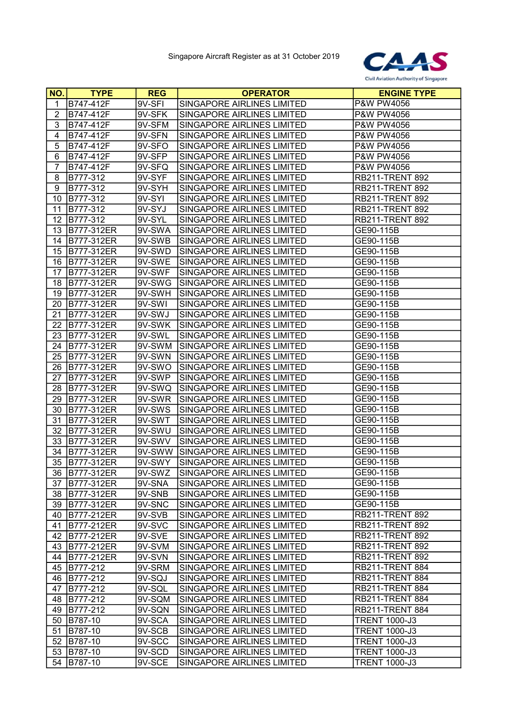

| NO.              | <b>TYPE</b>       | <b>REG</b> | <b>OPERATOR</b>            | <b>ENGINE TYPE</b>     |
|------------------|-------------------|------------|----------------------------|------------------------|
| 1                | B747-412F         | 9V-SFI     | SINGAPORE AIRLINES LIMITED | P&W PW4056             |
| $\boldsymbol{2}$ | B747-412F         | 9V-SFK     | SINGAPORE AIRLINES LIMITED | P&W PW4056             |
| 3                | B747-412F         | 9V-SFM     | SINGAPORE AIRLINES LIMITED | P&W PW4056             |
| 4                | B747-412F         | 9V-SFN     | SINGAPORE AIRLINES LIMITED | P&W PW4056             |
| 5                | B747-412F         | 9V-SFO     | SINGAPORE AIRLINES LIMITED | P&W PW4056             |
| 6                | B747-412F         | 9V-SFP     | SINGAPORE AIRLINES LIMITED | P&W PW4056             |
| $\overline{7}$   | B747-412F         | 9V-SFQ     | SINGAPORE AIRLINES LIMITED | P&W PW4056             |
| 8                | B777-312          | 9V-SYF     | SINGAPORE AIRLINES LIMITED | <b>RB211-TRENT 892</b> |
| 9                | B777-312          | 9V-SYH     | SINGAPORE AIRLINES LIMITED | <b>RB211-TRENT 892</b> |
| 10               | B777-312          | 9V-SYI     | SINGAPORE AIRLINES LIMITED | <b>RB211-TRENT 892</b> |
| 11               | B777-312          | 9V-SYJ     | SINGAPORE AIRLINES LIMITED | <b>RB211-TRENT 892</b> |
| 12               | B777-312          | 9V-SYL     | SINGAPORE AIRLINES LIMITED | <b>RB211-TRENT 892</b> |
| 13               | B777-312ER        | 9V-SWA     | SINGAPORE AIRLINES LIMITED | GE90-115B              |
| 14               | B777-312ER        | 9V-SWB     | SINGAPORE AIRLINES LIMITED | GE90-115B              |
| 15               | B777-312ER        | 9V-SWD     | SINGAPORE AIRLINES LIMITED | GE90-115B              |
| 16               | B777-312ER        | 9V-SWE     | SINGAPORE AIRLINES LIMITED | GE90-115B              |
| 17               | <b>B777-312ER</b> | 9V-SWF     | SINGAPORE AIRLINES LIMITED | GE90-115B              |
| 18               | B777-312ER        | 9V-SWG     | SINGAPORE AIRLINES LIMITED | GE90-115B              |
| 19               | B777-312ER        | 9V-SWH     | SINGAPORE AIRLINES LIMITED | GE90-115B              |
| 20               | B777-312ER        | 9V-SWI     | SINGAPORE AIRLINES LIMITED | GE90-115B              |
| 21               | B777-312ER        | 9V-SWJ     | SINGAPORE AIRLINES LIMITED | GE90-115B              |
| 22               | B777-312ER        | 9V-SWK     | SINGAPORE AIRLINES LIMITED | GE90-115B              |
| 23               | B777-312ER        | 9V-SWL     | SINGAPORE AIRLINES LIMITED | GE90-115B              |
| 24               | B777-312ER        | 9V-SWM     | SINGAPORE AIRLINES LIMITED | GE90-115B              |
| 25               | B777-312ER        | 9V-SWN     | SINGAPORE AIRLINES LIMITED | GE90-115B              |
| 26               | B777-312ER        | 9V-SWO     | SINGAPORE AIRLINES LIMITED | GE90-115B              |
| 27               | B777-312ER        | 9V-SWP     | SINGAPORE AIRLINES LIMITED | GE90-115B              |
| 28               | B777-312ER        | 9V-SWQ     | SINGAPORE AIRLINES LIMITED | GE90-115B              |
| 29               | B777-312ER        | 9V-SWR     | SINGAPORE AIRLINES LIMITED | GE90-115B              |
| 30               | B777-312ER        | 9V-SWS     | SINGAPORE AIRLINES LIMITED | GE90-115B              |
| 31               | B777-312ER        | 9V-SWT     | SINGAPORE AIRLINES LIMITED | GE90-115B              |
| 32               | <b>B777-312ER</b> | 9V-SWU     | SINGAPORE AIRLINES LIMITED | GE90-115B              |
| 33               | B777-312ER        | 9V-SWV     | SINGAPORE AIRLINES LIMITED | GE90-115B              |
| 34               | B777-312ER        | 9V-SWW     | SINGAPORE AIRLINES LIMITED | GE90-115B              |
| 35               | B777-312ER        | 9V-SWY     | SINGAPORE AIRLINES LIMITED | GE90-115B              |
|                  | 36 B777-312ER     | 9V-SWZ     | SINGAPORE AIRLINES LIMITED | GE90-115B              |
| 37               | B777-312ER        | 9V-SNA     | SINGAPORE AIRLINES LIMITED | GE90-115B              |
| 38               | B777-312ER        | 9V-SNB     | SINGAPORE AIRLINES LIMITED | GE90-115B              |
| 39               | B777-312ER        | 9V-SNC     | SINGAPORE AIRLINES LIMITED | GE90-115B              |
| 40               | B777-212ER        | 9V-SVB     | SINGAPORE AIRLINES LIMITED | <b>RB211-TRENT 892</b> |
| 41               | B777-212ER        | 9V-SVC     | SINGAPORE AIRLINES LIMITED | <b>RB211-TRENT 892</b> |
| 42               | B777-212ER        | 9V-SVE     | SINGAPORE AIRLINES LIMITED | <b>RB211-TRENT 892</b> |
| 43               | B777-212ER        | 9V-SVM     | SINGAPORE AIRLINES LIMITED | <b>RB211-TRENT 892</b> |
| 44               | B777-212ER        | 9V-SVN     | SINGAPORE AIRLINES LIMITED | <b>RB211-TRENT 892</b> |
| 45               | B777-212          | 9V-SRM     | SINGAPORE AIRLINES LIMITED | <b>RB211-TRENT 884</b> |
| 46               | B777-212          | 9V-SQJ     | SINGAPORE AIRLINES LIMITED | RB211-TRENT 884        |
| 47               | B777-212          | 9V-SQL     | SINGAPORE AIRLINES LIMITED | RB211-TRENT 884        |
| 48               | B777-212          | 9V-SQM     | SINGAPORE AIRLINES LIMITED | RB211-TRENT 884        |
| 49               | B777-212          | 9V-SQN     | SINGAPORE AIRLINES LIMITED | RB211-TRENT 884        |
| 50               | B787-10           | 9V-SCA     | SINGAPORE AIRLINES LIMITED | <b>TRENT 1000-J3</b>   |
| 51               | B787-10           | 9V-SCB     | SINGAPORE AIRLINES LIMITED | <b>TRENT 1000-J3</b>   |
| 52               | B787-10           | 9V-SCC     | SINGAPORE AIRLINES LIMITED | <b>TRENT 1000-J3</b>   |
| 53               | B787-10           | 9V-SCD     | SINGAPORE AIRLINES LIMITED | <b>TRENT 1000-J3</b>   |
| 54               | B787-10           | 9V-SCE     | SINGAPORE AIRLINES LIMITED | <b>TRENT 1000-J3</b>   |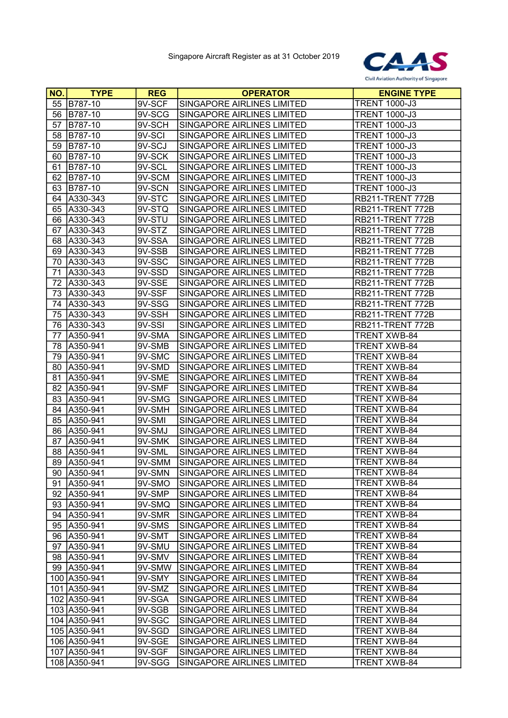

| <b>NO.</b> | <b>TYPE</b>   | <b>REG</b> | <b>OPERATOR</b>                   | <b>ENGINE TYPE</b>   |
|------------|---------------|------------|-----------------------------------|----------------------|
| 55         | B787-10       | 9V-SCF     | SINGAPORE AIRLINES LIMITED        | <b>TRENT 1000-J3</b> |
| 56         | B787-10       | 9V-SCG     | <b>SINGAPORE AIRLINES LIMITED</b> | <b>TRENT 1000-J3</b> |
| 57         | B787-10       | 9V-SCH     | SINGAPORE AIRLINES LIMITED        | <b>TRENT 1000-J3</b> |
| 58         | B787-10       | 9V-SCI     | <b>SINGAPORE AIRLINES LIMITED</b> | <b>TRENT 1000-J3</b> |
| 59         | B787-10       | 9V-SCJ     | SINGAPORE AIRLINES LIMITED        | <b>TRENT 1000-J3</b> |
| 60         | B787-10       | $9V-SCK$   | SINGAPORE AIRLINES LIMITED        | <b>TRENT 1000-J3</b> |
| 61         | B787-10       | 9V-SCL     | SINGAPORE AIRLINES LIMITED        | <b>TRENT 1000-J3</b> |
| 62         | B787-10       | 9V-SCM     | SINGAPORE AIRLINES LIMITED        | <b>TRENT 1000-J3</b> |
| 63         | B787-10       | $9V-SCN$   | SINGAPORE AIRLINES LIMITED        | <b>TRENT 1000-J3</b> |
| 64         | A330-343      | 9V-STC     | SINGAPORE AIRLINES LIMITED        | RB211-TRENT 772B     |
| 65         | A330-343      | 9V-STQ     | SINGAPORE AIRLINES LIMITED        | RB211-TRENT 772B     |
| 66         | A330-343      | 9V-STU     | SINGAPORE AIRLINES LIMITED        | RB211-TRENT 772B     |
| 67         | A330-343      | 9V-STZ     | SINGAPORE AIRLINES LIMITED        | RB211-TRENT 772B     |
| 68         | A330-343      | 9V-SSA     | SINGAPORE AIRLINES LIMITED        | RB211-TRENT 772B     |
| 69         | A330-343      | 9V-SSB     | SINGAPORE AIRLINES LIMITED        | RB211-TRENT 772B     |
| 70         | A330-343      | 9V-SSC     | SINGAPORE AIRLINES LIMITED        | RB211-TRENT 772B     |
| 71         | A330-343      | 9V-SSD     | SINGAPORE AIRLINES LIMITED        | RB211-TRENT 772B     |
| 72         | A330-343      | 9V-SSE     | SINGAPORE AIRLINES LIMITED        | RB211-TRENT 772B     |
| 73         | A330-343      | 9V-SSF     | SINGAPORE AIRLINES LIMITED        | RB211-TRENT 772B     |
| 74         | A330-343      | 9V-SSG     | SINGAPORE AIRLINES LIMITED        | RB211-TRENT 772B     |
| 75         | A330-343      | 9V-SSH     | SINGAPORE AIRLINES LIMITED        | RB211-TRENT 772B     |
| 76         | A330-343      | 9V-SSI     | SINGAPORE AIRLINES LIMITED        | RB211-TRENT 772B     |
| 77         | A350-941      | 9V-SMA     | SINGAPORE AIRLINES LIMITED        | <b>TRENT XWB-84</b>  |
| 78         | A350-941      | 9V-SMB     | SINGAPORE AIRLINES LIMITED        | <b>TRENT XWB-84</b>  |
| 79         | A350-941      | 9V-SMC     | SINGAPORE AIRLINES LIMITED        | <b>TRENT XWB-84</b>  |
| 80         | A350-941      | 9V-SMD     | SINGAPORE AIRLINES LIMITED        | <b>TRENT XWB-84</b>  |
| 81         | A350-941      | 9V-SME     | SINGAPORE AIRLINES LIMITED        | <b>TRENT XWB-84</b>  |
| 82         | A350-941      | 9V-SMF     | SINGAPORE AIRLINES LIMITED        | <b>TRENT XWB-84</b>  |
| 83         | A350-941      | 9V-SMG     | SINGAPORE AIRLINES LIMITED        | <b>TRENT XWB-84</b>  |
| 84         | A350-941      | 9V-SMH     | SINGAPORE AIRLINES LIMITED        | <b>TRENT XWB-84</b>  |
| 85         | A350-941      | 9V-SMI     | SINGAPORE AIRLINES LIMITED        | TRENT XWB-84         |
| 86         | A350-941      | 9V-SMJ     | SINGAPORE AIRLINES LIMITED        | <b>TRENT XWB-84</b>  |
| 87         | A350-941      | 9V-SMK     | SINGAPORE AIRLINES LIMITED        | <b>TRENT XWB-84</b>  |
| 88         | A350-941      | 9V-SML     | SINGAPORE AIRLINES LIMITED        | TRENT XWB-84         |
| 89         | A350-941      | 9V-SMM     | SINGAPORE AIRLINES LIMITED        | TRENT XWB-84         |
|            | 90 A350-941   | 9V-SMN     | SINGAPORE AIRLINES LIMITED        | TRENT XWB-84         |
| 91         | A350-941      | 9V-SMO     | SINGAPORE AIRLINES LIMITED        | <b>TRENT XWB-84</b>  |
|            | 92 A350-941   | 9V-SMP     | SINGAPORE AIRLINES LIMITED        | <b>TRENT XWB-84</b>  |
|            | 93 A350-941   | 9V-SMQ     | SINGAPORE AIRLINES LIMITED        | <b>TRENT XWB-84</b>  |
| 94         | A350-941      | 9V-SMR     | SINGAPORE AIRLINES LIMITED        | <b>TRENT XWB-84</b>  |
|            | 95   A350-941 | 9V-SMS     | SINGAPORE AIRLINES LIMITED        | TRENT XWB-84         |
| 96         | A350-941      | 9V-SMT     | SINGAPORE AIRLINES LIMITED        | <b>TRENT XWB-84</b>  |
| 97         | A350-941      | 9V-SMU     | SINGAPORE AIRLINES LIMITED        | TRENT XWB-84         |
| 98         | A350-941      | 9V-SMV     | SINGAPORE AIRLINES LIMITED        | TRENT XWB-84         |
|            | 99 A350-941   | 9V-SMW     | SINGAPORE AIRLINES LIMITED        | TRENT XWB-84         |
|            | 100 A350-941  | 9V-SMY     | SINGAPORE AIRLINES LIMITED        | TRENT XWB-84         |
|            | 101 A350-941  | 9V-SMZ     | SINGAPORE AIRLINES LIMITED        | TRENT XWB-84         |
|            | 102 A350-941  | 9V-SGA     | SINGAPORE AIRLINES LIMITED        | TRENT XWB-84         |
|            | 103 A350-941  | 9V-SGB     | SINGAPORE AIRLINES LIMITED        | TRENT XWB-84         |
|            | 104 A350-941  | 9V-SGC     | SINGAPORE AIRLINES LIMITED        | TRENT XWB-84         |
|            | 105 A350-941  | 9V-SGD     | SINGAPORE AIRLINES LIMITED        | TRENT XWB-84         |
|            | 106 A350-941  | 9V-SGE     | SINGAPORE AIRLINES LIMITED        | TRENT XWB-84         |
|            | 107 A350-941  | 9V-SGF     | SINGAPORE AIRLINES LIMITED        | <b>TRENT XWB-84</b>  |
|            | 108 A350-941  | 9V-SGG     | SINGAPORE AIRLINES LIMITED        | <b>TRENT XWB-84</b>  |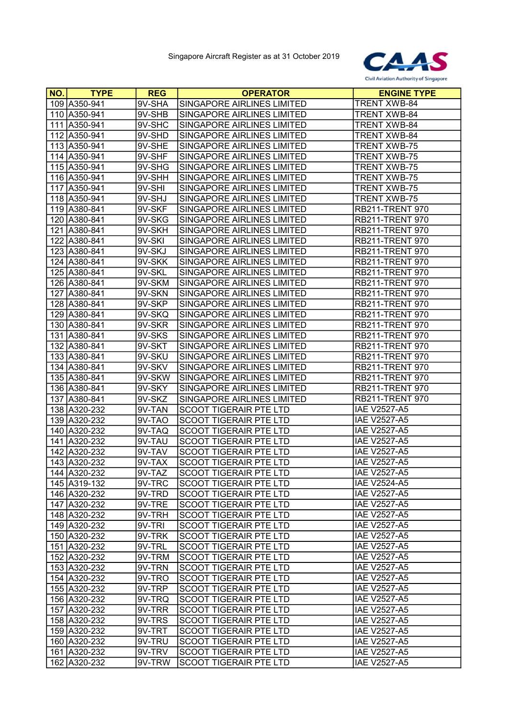

| NO. | <b>TYPE</b>  | <b>REG</b> | <b>OPERATOR</b>                   | <b>ENGINE TYPE</b>     |
|-----|--------------|------------|-----------------------------------|------------------------|
|     | 109 A350-941 | 9V-SHA     | SINGAPORE AIRLINES LIMITED        | <b>TRENT XWB-84</b>    |
|     | 110 A350-941 | 9V-SHB     | SINGAPORE AIRLINES LIMITED        | <b>TRENT XWB-84</b>    |
|     | 111 A350-941 | 9V-SHC     | SINGAPORE AIRLINES LIMITED        | <b>TRENT XWB-84</b>    |
|     | 112 A350-941 | 9V-SHD     | <b>SINGAPORE AIRLINES LIMITED</b> | <b>TRENT XWB-84</b>    |
|     | 113 A350-941 | 9V-SHE     | SINGAPORE AIRLINES LIMITED        | <b>TRENT XWB-75</b>    |
|     | 114 A350-941 | 9V-SHF     | SINGAPORE AIRLINES LIMITED        | <b>TRENT XWB-75</b>    |
|     | 115 A350-941 | 9V-SHG     | SINGAPORE AIRLINES LIMITED        | <b>TRENT XWB-75</b>    |
|     | 116 A350-941 | $9V-SHH$   | <b>SINGAPORE AIRLINES LIMITED</b> | <b>TRENT XWB-75</b>    |
|     | 117 A350-941 | 9V-SHI     | SINGAPORE AIRLINES LIMITED        | <b>TRENT XWB-75</b>    |
|     | 118 A350-941 | 9V-SHJ     | SINGAPORE AIRLINES LIMITED        | <b>TRENT XWB-75</b>    |
|     | 119 A380-841 | 9V-SKF     | SINGAPORE AIRLINES LIMITED        | <b>RB211-TRENT 970</b> |
|     | 120 A380-841 | 9V-SKG     | <b>SINGAPORE AIRLINES LIMITED</b> | <b>RB211-TRENT 970</b> |
|     | 121 A380-841 | 9V-SKH     | SINGAPORE AIRLINES LIMITED        | <b>RB211-TRENT 970</b> |
|     | 122 A380-841 | 9V-SKI     | SINGAPORE AIRLINES LIMITED        | <b>RB211-TRENT 970</b> |
|     | 123 A380-841 | 9V-SKJ     | SINGAPORE AIRLINES LIMITED        | <b>RB211-TRENT 970</b> |
|     | 124 A380-841 | 9V-SKK     | SINGAPORE AIRLINES LIMITED        | <b>RB211-TRENT 970</b> |
|     | 125 A380-841 | $9V-SKL$   | SINGAPORE AIRLINES LIMITED        | <b>RB211-TRENT 970</b> |
|     | 126 A380-841 | 9V-SKM     | SINGAPORE AIRLINES LIMITED        | <b>RB211-TRENT 970</b> |
|     | 127 A380-841 | 9V-SKN     | SINGAPORE AIRLINES LIMITED        | <b>RB211-TRENT 970</b> |
|     | 128 A380-841 | 9V-SKP     | SINGAPORE AIRLINES LIMITED        | <b>RB211-TRENT 970</b> |
|     | 129 A380-841 | 9V-SKQ     | SINGAPORE AIRLINES LIMITED        | <b>RB211-TRENT 970</b> |
|     | 130 A380-841 | 9V-SKR     | SINGAPORE AIRLINES LIMITED        | <b>RB211-TRENT 970</b> |
|     | 131 A380-841 | 9V-SKS     | SINGAPORE AIRLINES LIMITED        | <b>RB211-TRENT 970</b> |
|     | 132 A380-841 | 9V-SKT     | SINGAPORE AIRLINES LIMITED        | <b>RB211-TRENT 970</b> |
|     | 133 A380-841 | $9V-SKU$   | SINGAPORE AIRLINES LIMITED        | <b>RB211-TRENT 970</b> |
|     | 134 A380-841 | 9V-SKV     | SINGAPORE AIRLINES LIMITED        | <b>RB211-TRENT 970</b> |
|     | 135 A380-841 | 9V-SKW     | SINGAPORE AIRLINES LIMITED        | <b>RB211-TRENT 970</b> |
|     | 136 A380-841 | 9V-SKY     | SINGAPORE AIRLINES LIMITED        | <b>RB211-TRENT 970</b> |
|     | 137 A380-841 | 9V-SKZ     | SINGAPORE AIRLINES LIMITED        | <b>RB211-TRENT 970</b> |
|     | 138 A320-232 | 9V-TAN     | <b>SCOOT TIGERAIR PTE LTD</b>     | <b>IAE V2527-A5</b>    |
|     | 139 A320-232 | 9V-TAO     | <b>SCOOT TIGERAIR PTE LTD</b>     | IAE V2527-A5           |
|     | 140 A320-232 | 9V-TAQ     | <b>SCOOT TIGERAIR PTE LTD</b>     | <b>IAE V2527-A5</b>    |
|     | 141 A320-232 | 9V-TAU     | SCOOT TIGERAIR PTE LTD            | <b>IAE V2527-A5</b>    |
|     | 142 A320-232 | 9V-TAV     | SCOOT TIGERAIR PTE LTD            | <b>IAE V2527-A5</b>    |
|     | 143 A320-232 | 9V-TAX     | <b>SCOOT TIGERAIR PTE LTD</b>     | <b>IAE V2527-A5</b>    |
|     | 144 A320-232 | 9V-TAZ     | SCOOT TIGERAIR PTE LTD            | <b>IAE V2527-A5</b>    |
|     | 145 A319-132 | 9V-TRC     | <b>SCOOT TIGERAIR PTE LTD</b>     | <b>IAE V2524-A5</b>    |
|     | 146 A320-232 | 9V-TRD     | <b>SCOOT TIGERAIR PTE LTD</b>     | <b>IAE V2527-A5</b>    |
|     | 147 A320-232 | 9V-TRE     | SCOOT TIGERAIR PTE LTD            | <b>IAE V2527-A5</b>    |
|     | 148 A320-232 | 9V-TRH     | SCOOT TIGERAIR PTE LTD            | <b>IAE V2527-A5</b>    |
|     | 149 A320-232 | 9V-TRI     | SCOOT TIGERAIR PTE LTD            | <b>IAE V2527-A5</b>    |
|     | 150 A320-232 | 9V-TRK     | SCOOT TIGERAIR PTE LTD            | <b>IAE V2527-A5</b>    |
|     | 151 A320-232 | 9V-TRL     | <b>SCOOT TIGERAIR PTE LTD</b>     | <b>IAE V2527-A5</b>    |
|     | 152 A320-232 | 9V-TRM     | SCOOT TIGERAIR PTE LTD            | <b>IAE V2527-A5</b>    |
|     | 153 A320-232 | 9V-TRN     | <b>SCOOT TIGERAIR PTE LTD</b>     | <b>IAE V2527-A5</b>    |
|     | 154 A320-232 | 9V-TRO     | SCOOT TIGERAIR PTE LTD            | <b>IAE V2527-A5</b>    |
|     | 155 A320-232 | 9V-TRP     | SCOOT TIGERAIR PTE LTD            | <b>IAE V2527-A5</b>    |
|     | 156 A320-232 | 9V-TRQ     | <b>SCOOT TIGERAIR PTE LTD</b>     | <b>IAE V2527-A5</b>    |
|     | 157 A320-232 | 9V-TRR     | <b>SCOOT TIGERAIR PTE LTD</b>     | <b>IAE V2527-A5</b>    |
|     | 158 A320-232 | 9V-TRS     | SCOOT TIGERAIR PTE LTD            | <b>IAE V2527-A5</b>    |
|     | 159 A320-232 | 9V-TRT     | SCOOT TIGERAIR PTE LTD            | <b>IAE V2527-A5</b>    |
|     | 160 A320-232 | 9V-TRU     | SCOOT TIGERAIR PTE LTD            | <b>IAE V2527-A5</b>    |
|     | 161 A320-232 | 9V-TRV     | <b>SCOOT TIGERAIR PTE LTD</b>     | <b>IAE V2527-A5</b>    |
|     | 162 A320-232 | 9V-TRW     | <b>SCOOT TIGERAIR PTE LTD</b>     | <b>IAE V2527-A5</b>    |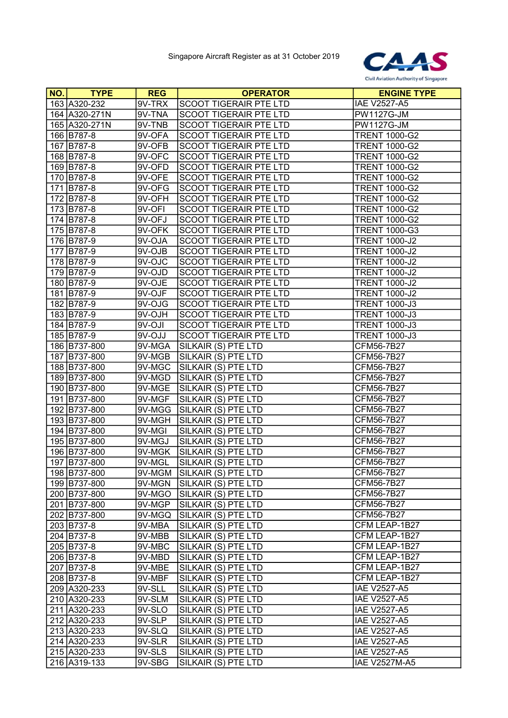

| NO. | <b>TYPE</b>   | <b>REG</b> | <b>OPERATOR</b>               | <b>ENGINE TYPE</b>   |
|-----|---------------|------------|-------------------------------|----------------------|
|     | 163 A320-232  | 9V-TRX     | <b>SCOOT TIGERAIR PTE LTD</b> | <b>IAE V2527-A5</b>  |
|     | 164 A320-271N | 9V-TNA     | <b>SCOOT TIGERAIR PTE LTD</b> | <b>PW1127G-JM</b>    |
|     | 165 A320-271N | 9V-TNB     | SCOOT TIGERAIR PTE LTD        | <b>PW1127G-JM</b>    |
|     | 166 B787-8    | 9V-OFA     | <b>SCOOT TIGERAIR PTE LTD</b> | <b>TRENT 1000-G2</b> |
|     | 167 B787-8    | 9V-OFB     | SCOOT TIGERAIR PTE LTD        | <b>TRENT 1000-G2</b> |
|     | 168 B787-8    | 9V-OFC     | SCOOT TIGERAIR PTE LTD        | <b>TRENT 1000-G2</b> |
|     | 169 B787-8    | 9V-OFD     | <b>SCOOT TIGERAIR PTE LTD</b> | <b>TRENT 1000-G2</b> |
|     | 170 B787-8    | 9V-OFE     | <b>SCOOT TIGERAIR PTE LTD</b> | <b>TRENT 1000-G2</b> |
|     | 171 B787-8    | $9V-OFG$   | <b>SCOOT TIGERAIR PTE LTD</b> | <b>TRENT 1000-G2</b> |
|     | 172 B787-8    | 9V-OFH     | <b>SCOOT TIGERAIR PTE LTD</b> | <b>TRENT 1000-G2</b> |
|     | 173 B787-8    | 9V-OFI     | <b>SCOOT TIGERAIR PTE LTD</b> | <b>TRENT 1000-G2</b> |
|     | 174 B787-8    | 9V-OFJ     | <b>SCOOT TIGERAIR PTE LTD</b> | <b>TRENT 1000-G2</b> |
|     | 175 B787-8    | 9V-OFK     | <b>SCOOT TIGERAIR PTE LTD</b> | <b>TRENT 1000-G3</b> |
|     | 176 B787-9    | 9V-OJA     | SCOOT TIGERAIR PTE LTD        | <b>TRENT 1000-J2</b> |
|     | 177 B787-9    | 9V-OJB     | SCOOT TIGERAIR PTE LTD        | <b>TRENT 1000-J2</b> |
|     | 178 B787-9    | 9V-OJC     | SCOOT TIGERAIR PTE LTD        | <b>TRENT 1000-J2</b> |
|     | 179 B787-9    | 9V-OJD     | SCOOT TIGERAIR PTE LTD        | <b>TRENT 1000-J2</b> |
|     | 180 B787-9    | 9V-OJE     | <b>SCOOT TIGERAIR PTE LTD</b> | <b>TRENT 1000-J2</b> |
|     | 181 B787-9    | 9V-OJF     | SCOOT TIGERAIR PTE LTD        | <b>TRENT 1000-J2</b> |
|     | 182 B787-9    | $9V-OJG$   | <b>SCOOT TIGERAIR PTE LTD</b> | <b>TRENT 1000-J3</b> |
|     | 183 B787-9    | 9V-OJH     | SCOOT TIGERAIR PTE LTD        | <b>TRENT 1000-J3</b> |
|     | 184 B787-9    | 9V-OJI     | <b>SCOOT TIGERAIR PTE LTD</b> | <b>TRENT 1000-J3</b> |
|     | 185 B787-9    | 9V-OJJ     | <b>SCOOT TIGERAIR PTE LTD</b> | <b>TRENT 1000-J3</b> |
|     | 186 B737-800  | 9V-MGA     | SILKAIR (S) PTE LTD           | CFM56-7B27           |
|     | 187 B737-800  | 9V-MGB     | SILKAIR (S) PTE LTD           | CFM56-7B27           |
|     | 188 B737-800  | 9V-MGC     | SILKAIR (S) PTE LTD           | CFM56-7B27           |
|     | 189 B737-800  | 9V-MGD     | SILKAIR (S) PTE LTD           | CFM56-7B27           |
|     | 190 B737-800  | 9V-MGE     | SILKAIR (S) PTE LTD           | CFM56-7B27           |
|     | 191 B737-800  | 9V-MGF     | SILKAIR (S) PTE LTD           | CFM56-7B27           |
|     | 192 B737-800  | 9V-MGG     | SILKAIR (S) PTE LTD           | CFM56-7B27           |
|     | 193 B737-800  | 9V-MGH     | SILKAIR (S) PTE LTD           | CFM56-7B27           |
|     | 194 B737-800  | 9V-MGI     | SILKAIR (S) PTE LTD           | CFM56-7B27           |
|     | 195 B737-800  | 9V-MGJ     | SILKAIR (S) PTE LTD           | CFM56-7B27           |
|     | 196 B737-800  | 9V-MGK     | SILKAIR (S) PTE LTD           | CFM56-7B27           |
|     | 197 B737-800  | 9V-MGL     | SILKAIR (S) PTE LTD           | CFM56-7B27           |
|     | 198 B737-800  |            | 9V-MGM SILKAIR (S) PTE LTD    | CFM56-7B27           |
|     | 199 B737-800  | 9V-MGN     | SILKAIR (S) PTE LTD           | CFM56-7B27           |
|     | 200 B737-800  | 9V-MGO     | SILKAIR (S) PTE LTD           | CFM56-7B27           |
|     | 201 B737-800  | 9V-MGP     | SILKAIR (S) PTE LTD           | CFM56-7B27           |
|     | 202 B737-800  | 9V-MGQ     | SILKAIR (S) PTE LTD           | CFM56-7B27           |
|     | 203 B737-8    | 9V-MBA     | SILKAIR (S) PTE LTD           | CFM LEAP-1B27        |
|     | 204 B737-8    | 9V-MBB     | SILKAIR (S) PTE LTD           | CFM LEAP-1B27        |
|     | 205 B737-8    | 9V-MBC     | SILKAIR (S) PTE LTD           | CFM LEAP-1B27        |
|     | 206 B737-8    | 9V-MBD     | SILKAIR (S) PTE LTD           | CFM LEAP-1B27        |
|     | 207 B737-8    | 9V-MBE     | SILKAIR (S) PTE LTD           | CFM LEAP-1B27        |
|     | 208 B737-8    | 9V-MBF     | SILKAIR (S) PTE LTD           | CFM LEAP-1B27        |
|     | 209 A320-233  | 9V-SLL     | SILKAIR (S) PTE LTD           | IAE V2527-A5         |
|     | 210 A320-233  | 9V-SLM     | SILKAIR (S) PTE LTD           | <b>IAE V2527-A5</b>  |
|     | 211 A320-233  | 9V-SLO     | SILKAIR (S) PTE LTD           | <b>IAE V2527-A5</b>  |
|     | 212 A320-233  | 9V-SLP     | SILKAIR (S) PTE LTD           | <b>IAE V2527-A5</b>  |
|     | 213 A320-233  | $9V-SLQ$   | SILKAIR (S) PTE LTD           | <b>IAE V2527-A5</b>  |
|     | 214 A320-233  | 9V-SLR     | SILKAIR (S) PTE LTD           | <b>IAE V2527-A5</b>  |
|     | 215 A320-233  | 9V-SLS     | SILKAIR (S) PTE LTD           | <b>IAE V2527-A5</b>  |
|     | 216 A319-133  | 9V-SBG     | SILKAIR (S) PTE LTD           | <b>IAE V2527M-A5</b> |